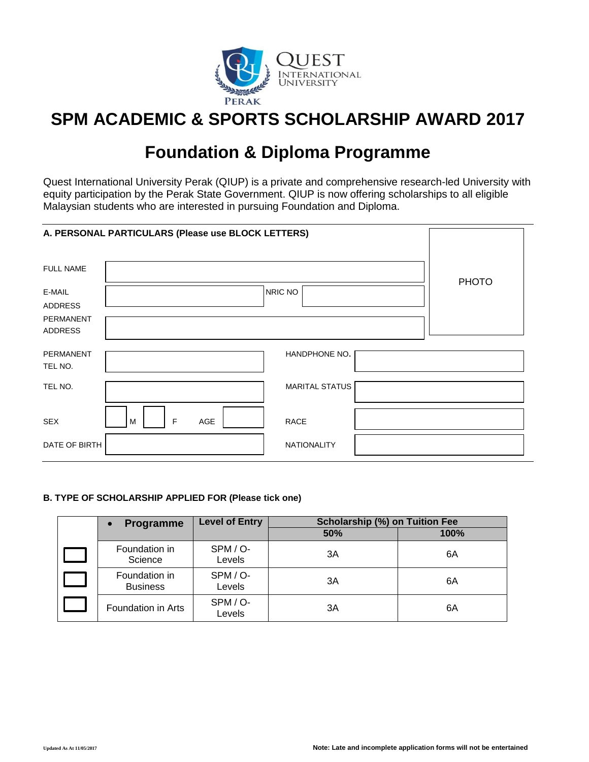

# **SPM ACADEMIC & SPORTS SCHOLARSHIP AWARD 2017**

# **Foundation & Diploma Programme**

Quest International University Perak (QIUP) is a private and comprehensive research-led University with equity participation by the Perak State Government. QIUP is now offering scholarships to all eligible Malaysian students who are interested in pursuing Foundation and Diploma.

|                      | A. PERSONAL PARTICULARS (Please use BLOCK LETTERS) |              |
|----------------------|----------------------------------------------------|--------------|
| <b>FULL NAME</b>     |                                                    |              |
|                      |                                                    | <b>PHOTO</b> |
| E-MAIL               | NRIC NO                                            |              |
| ADDRESS<br>PERMANENT |                                                    |              |
| <b>ADDRESS</b>       |                                                    |              |
| <b>PERMANENT</b>     | HANDPHONE NO.                                      |              |
| TEL NO.              |                                                    |              |
| TEL NO.              | <b>MARITAL STATUS</b>                              |              |
|                      |                                                    |              |
| <b>SEX</b>           | $\mathsf F$<br>AGE<br><b>RACE</b><br>M             |              |
| DATE OF BIRTH        | <b>NATIONALITY</b>                                 |              |

## **B. TYPE OF SCHOLARSHIP APPLIED FOR (Please tick one)**

| <b>Programme</b><br>$\bullet$    | <b>Level of Entry</b> | Scholarship (%) on Tuition Fee |      |
|----------------------------------|-----------------------|--------------------------------|------|
|                                  |                       | 50%                            | 100% |
| Foundation in<br>Science         | SPM / O-<br>Levels    | 3A                             | 6A   |
| Foundation in<br><b>Business</b> | SPM / O-<br>Levels    | 3A                             | 6A   |
| Foundation in Arts               | SPM / O-<br>Levels    | 3A                             | 6A   |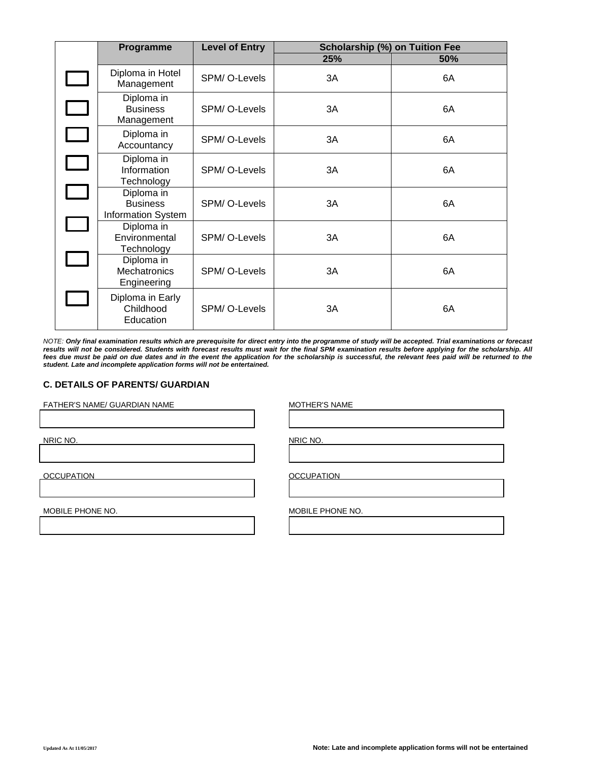| Programme                                                  | <b>Level of Entry</b> | <b>Scholarship (%) on Tuition Fee</b> |     |
|------------------------------------------------------------|-----------------------|---------------------------------------|-----|
|                                                            |                       | 25%                                   | 50% |
| Diploma in Hotel<br>Management                             | SPM/O-Levels          | ЗA                                    | 6A  |
| Diploma in<br><b>Business</b><br>Management                | SPM/O-Levels          | 3A                                    | 6A  |
| Diploma in<br>Accountancy                                  | SPM/O-Levels          | 3A                                    | 6A  |
| Diploma in<br>Information<br>Technology                    | SPM/O-Levels          | 3A                                    | 6A  |
| Diploma in<br><b>Business</b><br><b>Information System</b> | SPM/O-Levels          | 3A                                    | 6A  |
| Diploma in<br>Environmental<br>Technology                  | SPM/O-Levels          | 3A                                    | 6A  |
| Diploma in<br>Mechatronics<br>Engineering                  | SPM/O-Levels          | 3A                                    | 6A  |
| Diploma in Early<br>Childhood<br>Education                 | SPM/O-Levels          | 3A                                    | 6A  |

*NOTE: Only final examination results which are prerequisite for direct entry into the programme of study will be accepted. Trial examinations or forecast results will not be considered. Students with forecast results must wait for the final SPM examination results before applying for the scholarship. All fees due must be paid on due dates and in the event the application for the scholarship is successful, the relevant fees paid will be returned to the student. Late and incomplete application forms will not be entertained.*

#### **C. DETAILS OF PARENTS/ GUARDIAN**

FATHER'S NAME/ GUARDIAN NAME MOTHER'S NAME

NRIC NO. NRIC NO.

OCCUPATION **OCCUPATION OCCUPATION** 

MOBILE PHONE NO. **MOBILE PHONE NO.**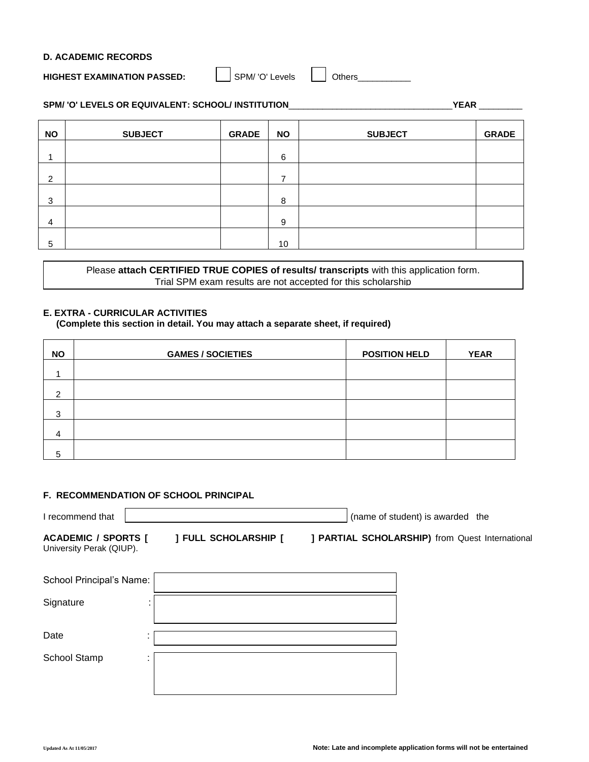#### **D. ACADEMIC RECORDS**

# **HIGHEST EXAMINATION PASSED:** SPM/ 'O' Levels **Quartity Others**

# **SPM/ 'O' LEVELS OR EQUIVALENT: SCHOOL/ INSTITUTION**\_\_\_\_\_\_\_\_\_\_\_\_\_\_\_\_\_\_\_\_\_\_\_\_\_\_\_\_\_\_\_\_\_\_**YEAR** \_\_\_\_\_\_\_\_\_

| <b>NO</b>      | <b>SUBJECT</b> | <b>GRADE</b> | <b>NO</b> | <b>SUBJECT</b> | <b>GRADE</b> |
|----------------|----------------|--------------|-----------|----------------|--------------|
|                |                |              |           |                |              |
|                |                |              | 6         |                |              |
|                |                |              |           |                |              |
| 2              |                |              | ⇁         |                |              |
|                |                |              |           |                |              |
| 3              |                |              | 8         |                |              |
|                |                |              |           |                |              |
| $\overline{4}$ |                |              | 9         |                |              |
|                |                |              |           |                |              |
| 5              |                |              | 10        |                |              |

Please **attach CERTIFIED TRUE COPIES of results/ transcripts** with this application form. Trial SPM exam results are not accepted for this scholarship

# **E. EXTRA - CURRICULAR ACTIVITIES**

**(Complete this section in detail. You may attach a separate sheet, if required)**

| <b>NO</b>      | <b>GAMES / SOCIETIES</b> | <b>POSITION HELD</b> | <b>YEAR</b> |
|----------------|--------------------------|----------------------|-------------|
|                |                          |                      |             |
| $\mathcal{P}$  |                          |                      |             |
| 3              |                          |                      |             |
| $\overline{4}$ |                          |                      |             |
| 5              |                          |                      |             |

#### **F. RECOMMENDATION OF SCHOOL PRINCIPAL**

| I recommend that                                       |    |                             | (name of student) is awarded the                |
|--------------------------------------------------------|----|-----------------------------|-------------------------------------------------|
| <b>ACADEMIC / SPORTS [</b><br>University Perak (QIUP). |    | <b>J FULL SCHOLARSHIP [</b> | ] PARTIAL SCHOLARSHIP) from Quest International |
| School Principal's Name:                               |    |                             |                                                 |
| Signature                                              |    |                             |                                                 |
| Date                                                   |    |                             |                                                 |
| School Stamp                                           | ٠. |                             |                                                 |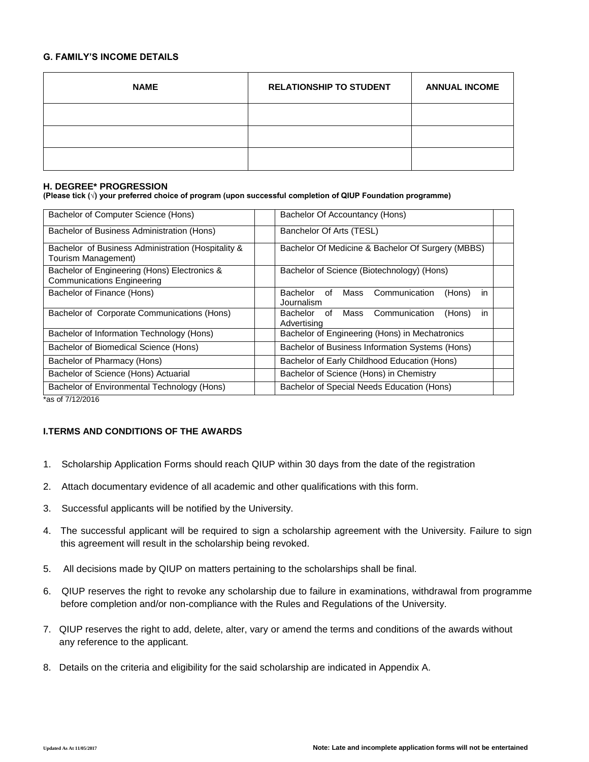#### **G. FAMILY'S INCOME DETAILS**

| <b>NAME</b> | <b>RELATIONSHIP TO STUDENT</b> | <b>ANNUAL INCOME</b> |
|-------------|--------------------------------|----------------------|
|             |                                |                      |
|             |                                |                      |
|             |                                |                      |

#### **H. DEGREE\* PROGRESSION**

**(Please tick (√) your preferred choice of program (upon successful completion of QIUP Foundation programme)**

| Bachelor of Computer Science (Hons)                                               | Bachelor Of Accountancy (Hons)                                         |
|-----------------------------------------------------------------------------------|------------------------------------------------------------------------|
| Bachelor of Business Administration (Hons)                                        | Banchelor Of Arts (TESL)                                               |
| Bachelor of Business Administration (Hospitality &<br>Tourism Management)         | Bachelor Of Medicine & Bachelor Of Surgery (MBBS)                      |
| Bachelor of Engineering (Hons) Electronics &<br><b>Communications Engineering</b> | Bachelor of Science (Biotechnology) (Hons)                             |
| Bachelor of Finance (Hons)                                                        | in<br>Communication<br>Bachelor<br>Mass<br>(Hons)<br>of<br>Journalism  |
| Bachelor of Corporate Communications (Hons)                                       | Communication<br>in<br>Mass<br>(Hons)<br>Bachelor<br>of<br>Advertising |
| Bachelor of Information Technology (Hons)                                         | Bachelor of Engineering (Hons) in Mechatronics                         |
| Bachelor of Biomedical Science (Hons)                                             | Bachelor of Business Information Systems (Hons)                        |
| Bachelor of Pharmacy (Hons)                                                       | Bachelor of Early Childhood Education (Hons)                           |
| Bachelor of Science (Hons) Actuarial                                              | Bachelor of Science (Hons) in Chemistry                                |
| Bachelor of Environmental Technology (Hons)                                       | Bachelor of Special Needs Education (Hons)                             |

\*as of 7/12/2016

### **I.TERMS AND CONDITIONS OF THE AWARDS**

- 1. Scholarship Application Forms should reach QIUP within 30 days from the date of the registration
- 2. Attach documentary evidence of all academic and other qualifications with this form.
- 3. Successful applicants will be notified by the University.
- 4. The successful applicant will be required to sign a scholarship agreement with the University. Failure to sign this agreement will result in the scholarship being revoked.
- 5. All decisions made by QIUP on matters pertaining to the scholarships shall be final.
- 6. QIUP reserves the right to revoke any scholarship due to failure in examinations, withdrawal from programme before completion and/or non-compliance with the Rules and Regulations of the University.
- 7. QIUP reserves the right to add, delete, alter, vary or amend the terms and conditions of the awards without any reference to the applicant.
- 8. Details on the criteria and eligibility for the said scholarship are indicated in Appendix A.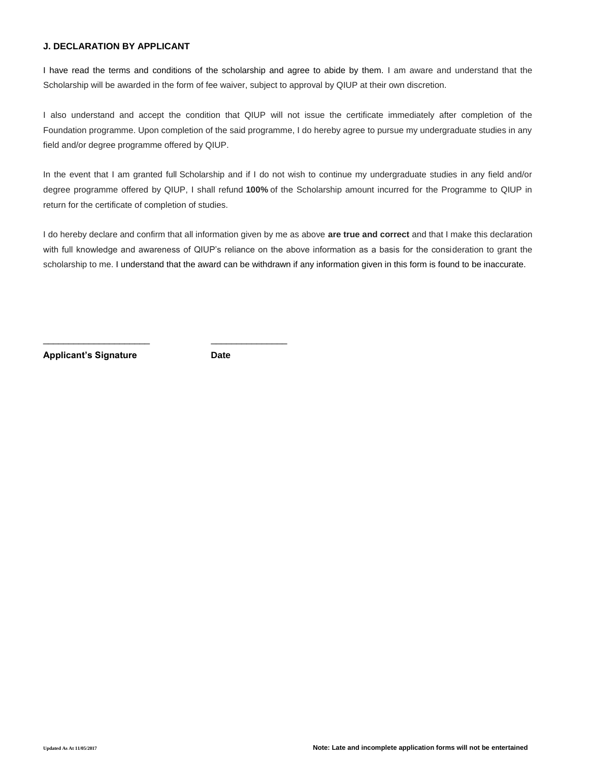## **J. DECLARATION BY APPLICANT**

I have read the terms and conditions of the scholarship and agree to abide by them. I am aware and understand that the Scholarship will be awarded in the form of fee waiver, subject to approval by QIUP at their own discretion.

I also understand and accept the condition that QIUP will not issue the certificate immediately after completion of the Foundation programme. Upon completion of the said programme, I do hereby agree to pursue my undergraduate studies in any field and/or degree programme offered by QIUP.

In the event that I am granted full Scholarship and if I do not wish to continue my undergraduate studies in any field and/or degree programme offered by QIUP, I shall refund **100%** of the Scholarship amount incurred for the Programme to QIUP in return for the certificate of completion of studies.

I do hereby declare and confirm that all information given by me as above **are true and correct** and that I make this declaration with full knowledge and awareness of QIUP's reliance on the above information as a basis for the consideration to grant the scholarship to me. I understand that the award can be withdrawn if any information given in this form is found to be inaccurate.

**Applicant's Signature Date**

\_\_\_\_\_\_\_\_\_\_\_\_\_\_\_\_\_\_\_\_\_ \_\_\_\_\_\_\_\_\_\_\_\_\_\_\_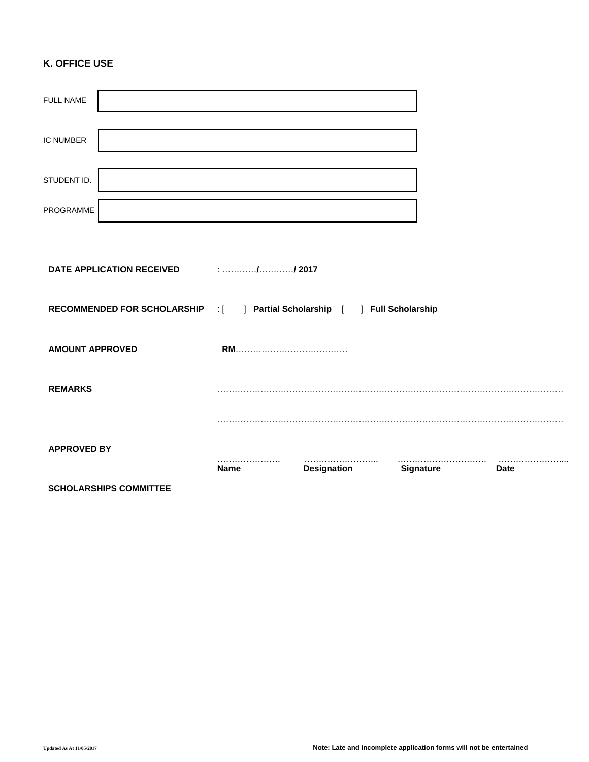# **K. OFFICE USE**

|                        | <b>SCHOLARSHIPS COMMITTEE</b>                                              |             |                    |           |             |
|------------------------|----------------------------------------------------------------------------|-------------|--------------------|-----------|-------------|
| <b>APPROVED BY</b>     |                                                                            | <b>Name</b> | <b>Designation</b> | Signature | <b>Date</b> |
|                        |                                                                            |             |                    |           |             |
| <b>REMARKS</b>         |                                                                            |             |                    |           |             |
| <b>AMOUNT APPROVED</b> |                                                                            |             |                    |           |             |
|                        | RECOMMENDED FOR SCHOLARSHIP : [ ] Partial Scholarship [ ] Full Scholarship |             |                    |           |             |
|                        | DATE APPLICATION RECEIVED                                                  |             |                    |           |             |
|                        |                                                                            |             |                    |           |             |
| PROGRAMME              |                                                                            |             |                    |           |             |
| STUDENT ID.            |                                                                            |             |                    |           |             |
| <b>IC NUMBER</b>       |                                                                            |             |                    |           |             |
| FULL NAME              |                                                                            |             |                    |           |             |
|                        |                                                                            |             |                    |           |             |